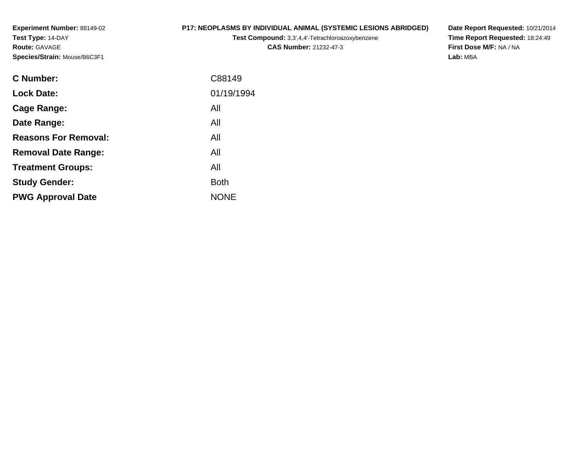**Experiment Number:** 88149-02**Test Type:** 14-DAY**Route:** GAVAGE**Species/Strain:** Mouse/B6C3F1

### **P17: NEOPLASMS BY INDIVIDUAL ANIMAL (SYSTEMIC LESIONS ABRIDGED)**

**Test Compound:** 3,3',4,4'-Tetrachloroazoxybenzene

**CAS Number:** 21232-47-3

**Date Report Requested:** 10/21/2014 **Time Report Requested:** 18:24:49**First Dose M/F:** NA / NA**Lab:** MBA

| <b>C</b> Number:            | C88149      |
|-----------------------------|-------------|
| <b>Lock Date:</b>           | 01/19/1994  |
| Cage Range:                 | All         |
| Date Range:                 | All         |
| <b>Reasons For Removal:</b> | All         |
| <b>Removal Date Range:</b>  | All         |
| <b>Treatment Groups:</b>    | All         |
| <b>Study Gender:</b>        | <b>Both</b> |
| <b>PWG Approval Date</b>    | <b>NONE</b> |
|                             |             |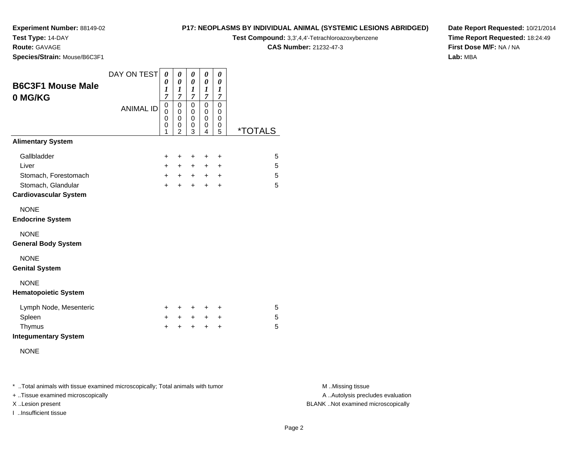### **Test Type:** 14-DAY

**Route:** GAVAGE

**Species/Strain:** Mouse/B6C3F1

#### **P17: NEOPLASMS BY INDIVIDUAL ANIMAL (SYSTEMIC LESIONS ABRIDGED)**

**Test Compound:** 3,3',4,4'-Tetrachloroazoxybenzene

**CAS Number:** 21232-47-3

**Date Report Requested:** 10/21/2014**Time Report Requested:** 18:24:49**First Dose M/F:** NA / NA**Lab:** MBA

| <b>B6C3F1 Mouse Male</b><br>0 MG/KG                | DAY ON TEST      | 0<br>0<br>1<br>$\overline{7}$        | 0<br>$\boldsymbol{\theta}$<br>$\boldsymbol{l}$<br>$\overline{7}$ | 0<br>0<br>1<br>$\overline{7}$ | 0<br>$\pmb{\theta}$<br>1<br>$\overline{7}$ | 0<br>0<br>$\boldsymbol{l}$<br>$\overline{7}$ |                       |
|----------------------------------------------------|------------------|--------------------------------------|------------------------------------------------------------------|-------------------------------|--------------------------------------------|----------------------------------------------|-----------------------|
|                                                    | <b>ANIMAL ID</b> | $\boldsymbol{0}$<br>0<br>0<br>0<br>1 | 0<br>0<br>$\mathbf 0$<br>0<br>$\mathfrak{p}$                     | 0<br>0<br>0<br>0<br>3         | 0<br>0<br>0<br>0<br>4                      | $\mathbf 0$<br>0<br>0<br>0<br>5              | <i><b>*TOTALS</b></i> |
| <b>Alimentary System</b>                           |                  |                                      |                                                                  |                               |                                            |                                              |                       |
| Gallbladder                                        |                  | +                                    | $\ddot{}$                                                        | $\ddot{}$                     | $\ddot{}$                                  | $\ddot{}$                                    | 5                     |
| Liver                                              |                  | $+$                                  | $+$                                                              | $+$                           | $\ddot{}$                                  | $\ddot{}$                                    | 5                     |
| Stomach, Forestomach                               |                  | $+$                                  | $+$ $-$                                                          | $+$ $-$                       | $+$                                        | $\ddot{}$                                    | 5                     |
| Stomach, Glandular<br><b>Cardiovascular System</b> |                  | $\ddot{}$                            | $\ddot{}$                                                        | $\ddot{}$                     | $\ddot{}$                                  | $\ddot{}$                                    | 5                     |
| <b>NONE</b><br><b>Endocrine System</b>             |                  |                                      |                                                                  |                               |                                            |                                              |                       |
| <b>NONE</b><br><b>General Body System</b>          |                  |                                      |                                                                  |                               |                                            |                                              |                       |
| <b>NONE</b><br><b>Genital System</b>               |                  |                                      |                                                                  |                               |                                            |                                              |                       |
| <b>NONE</b><br><b>Hematopoietic System</b>         |                  |                                      |                                                                  |                               |                                            |                                              |                       |
| Lymph Node, Mesenteric                             |                  | ÷                                    | ÷                                                                | $\ddot{}$                     | +                                          | $\ddot{}$                                    | 5                     |
| Spleen                                             |                  | +                                    | $\ddot{}$                                                        | $+$                           | +                                          | $\ddot{}$                                    | 5                     |
| Thymus<br><b>Integumentary System</b>              |                  | $\ddot{}$                            | ÷                                                                | $\div$                        | $\ddot{}$                                  | $\ddot{}$                                    | 5                     |
| <b>NONE</b>                                        |                  |                                      |                                                                  |                               |                                            |                                              |                       |

\* ..Total animals with tissue examined microscopically; Total animals with tumor **M** . Missing tissue M ..Missing tissue

+ ..Tissue examined microscopically

I ..Insufficient tissue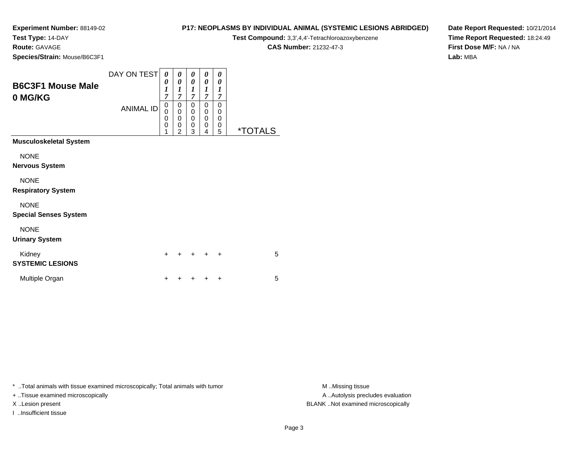### **Test Type:** 14-DAY

**Route:** GAVAGE

**Species/Strain:** Mouse/B6C3F1

| <b>P17: NEOPLASMS BY INDIVIDUAL ANIMAL (SYSTEMIC LESIONS ABRIDGED)</b> |  |
|------------------------------------------------------------------------|--|
|------------------------------------------------------------------------|--|

**Test Compound:** 3,3',4,4'-Tetrachloroazoxybenzene

**CAS Number:** 21232-47-3

**Date Report Requested:** 10/21/2014**Time Report Requested:** 18:24:49**First Dose M/F:** NA / NA**Lab:** MBA

| <b>B6C3F1 Mouse Male</b><br>0 MG/KG | DAY ON TEST<br><b>ANIMAL ID</b> | 0<br>0<br>$\boldsymbol{l}$<br>7<br>$\mathbf 0$<br>$\overline{0}$<br>$\mathbf 0$<br>$\mathbf 0$<br>1 | 0<br>0<br>1<br>$\overline{\tau}$<br>0<br>$\mathbf 0$<br>0<br>0<br>$\overline{2}$ | 0<br>0<br>1<br>$\overline{7}$<br>0<br>$\mathbf 0$<br>$\mathbf 0$<br>$\mathbf 0$<br>3 | 0<br>0<br>1<br>$\overline{\tau}$<br>0<br>0<br>0<br>0<br>4 | 0<br>0<br>1<br>7<br>0<br>0<br>0<br>0<br>5 | <i><b>*TOTALS</b></i> |
|-------------------------------------|---------------------------------|-----------------------------------------------------------------------------------------------------|----------------------------------------------------------------------------------|--------------------------------------------------------------------------------------|-----------------------------------------------------------|-------------------------------------------|-----------------------|
| <b>Musculoskeletal System</b>       |                                 |                                                                                                     |                                                                                  |                                                                                      |                                                           |                                           |                       |
| <b>NONE</b>                         |                                 |                                                                                                     |                                                                                  |                                                                                      |                                                           |                                           |                       |
| <b>Nervous System</b>               |                                 |                                                                                                     |                                                                                  |                                                                                      |                                                           |                                           |                       |
| <b>NONE</b>                         |                                 |                                                                                                     |                                                                                  |                                                                                      |                                                           |                                           |                       |
| <b>Respiratory System</b>           |                                 |                                                                                                     |                                                                                  |                                                                                      |                                                           |                                           |                       |
| <b>NONE</b>                         |                                 |                                                                                                     |                                                                                  |                                                                                      |                                                           |                                           |                       |
| <b>Special Senses System</b>        |                                 |                                                                                                     |                                                                                  |                                                                                      |                                                           |                                           |                       |
| <b>NONE</b>                         |                                 |                                                                                                     |                                                                                  |                                                                                      |                                                           |                                           |                       |
| <b>Urinary System</b>               |                                 |                                                                                                     |                                                                                  |                                                                                      |                                                           |                                           |                       |
| Kidney<br><b>SYSTEMIC LESIONS</b>   |                                 | $\ddot{}$                                                                                           | +                                                                                | ÷                                                                                    | ÷                                                         | $\ddot{}$                                 | 5                     |
| Multiple Organ                      |                                 | +                                                                                                   |                                                                                  |                                                                                      |                                                           | +                                         | 5                     |

\* ..Total animals with tissue examined microscopically; Total animals with tumor **M** . Missing tissue M ..Missing tissue

+ ..Tissue examined microscopically

I ..Insufficient tissue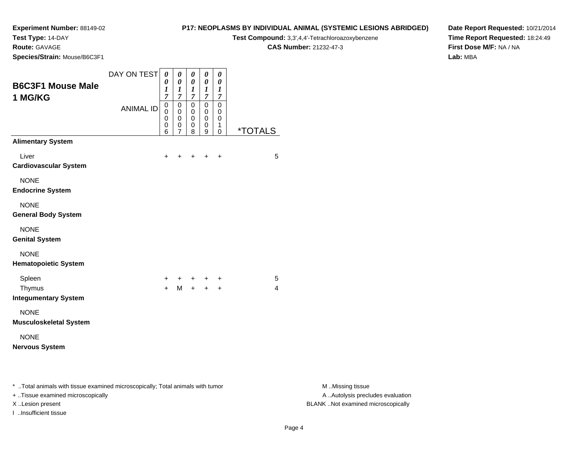**Test Type:** 14-DAY

**Route:** GAVAGE

**Species/Strain:** Mouse/B6C3F1

#### **P17: NEOPLASMS BY INDIVIDUAL ANIMAL (SYSTEMIC LESIONS ABRIDGED)**

**Test Compound:** 3,3',4,4'-Tetrachloroazoxybenzene

**CAS Number:** 21232-47-3

**Date Report Requested:** 10/21/2014**Time Report Requested:** 18:24:49**First Dose M/F:** NA / NA**Lab:** MBA

| <b>B6C3F1 Mouse Male</b>                                                       | DAY ON TEST      | 0<br>0<br>1                | 0<br>$\pmb{\theta}$<br>1                                                 | $\boldsymbol{\theta}$<br>$\boldsymbol{\theta}$<br>1         | 0<br>$\boldsymbol{\theta}$<br>1                                         | $\boldsymbol{\theta}$<br>$\boldsymbol{\theta}$<br>1 |                       |
|--------------------------------------------------------------------------------|------------------|----------------------------|--------------------------------------------------------------------------|-------------------------------------------------------------|-------------------------------------------------------------------------|-----------------------------------------------------|-----------------------|
| 1 MG/KG                                                                        | <b>ANIMAL ID</b> | 7<br>0<br>0<br>0<br>0<br>6 | $\overline{7}$<br>$\mathbf 0$<br>$\mathbf 0$<br>0<br>0<br>$\overline{7}$ | $\overline{7}$<br>$\mathbf 0$<br>0<br>$\mathbf 0$<br>0<br>8 | $\boldsymbol{7}$<br>$\mathbf 0$<br>$\mathbf 0$<br>$\mathbf 0$<br>0<br>9 | 7<br>$\mathbf 0$<br>0<br>0<br>1<br>0                | <i><b>*TOTALS</b></i> |
| <b>Alimentary System</b>                                                       |                  |                            |                                                                          |                                                             |                                                                         |                                                     |                       |
| Liver<br><b>Cardiovascular System</b>                                          |                  | ٠                          |                                                                          |                                                             | +                                                                       | $\ddot{}$                                           | 5                     |
| <b>NONE</b><br><b>Endocrine System</b>                                         |                  |                            |                                                                          |                                                             |                                                                         |                                                     |                       |
| <b>NONE</b><br><b>General Body System</b>                                      |                  |                            |                                                                          |                                                             |                                                                         |                                                     |                       |
| <b>NONE</b><br><b>Genital System</b>                                           |                  |                            |                                                                          |                                                             |                                                                         |                                                     |                       |
| <b>NONE</b><br><b>Hematopoietic System</b>                                     |                  |                            |                                                                          |                                                             |                                                                         |                                                     |                       |
| Spleen<br>Thymus<br><b>Integumentary System</b>                                |                  | +<br>$\ddot{}$             | +<br>M                                                                   | +<br>$+$                                                    | +<br>$+$                                                                | +<br>$\ddot{}$                                      | 5<br>4                |
| <b>NONE</b><br><b>Musculoskeletal System</b>                                   |                  |                            |                                                                          |                                                             |                                                                         |                                                     |                       |
| <b>NONE</b><br><b>Nervous System</b>                                           |                  |                            |                                                                          |                                                             |                                                                         |                                                     |                       |
| * Total animals with tissue examined microscopically; Total animals with tumor |                  |                            |                                                                          |                                                             |                                                                         |                                                     |                       |

+ ..Tissue examined microscopically

I ..Insufficient tissue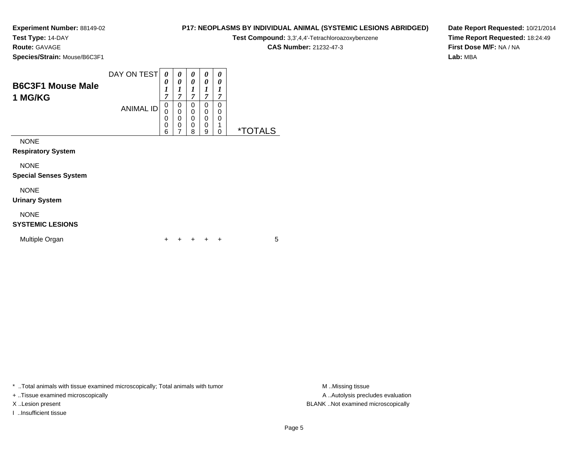**Test Type:** 14-DAY

**Route:** GAVAGE

**Species/Strain:** Mouse/B6C3F1

|                          | DAY ON TEST      | $\boldsymbol{\theta}$ | 0      | 0      |   | 0      |   |
|--------------------------|------------------|-----------------------|--------|--------|---|--------|---|
| <b>B6C3F1 Mouse Male</b> |                  | 0                     |        | 0      | 0 | 0      |   |
|                          |                  | 7                     |        |        | − | ~      |   |
| 1 MG/KG                  |                  |                       | ~      | ~      |   |        |   |
|                          | <b>ANIMAL ID</b> | 0<br>0                | 0<br>0 | 0<br>0 |   | 0<br>0 |   |
|                          |                  | 0                     | 0      | 0      |   | 0      |   |
|                          |                  | 0                     | 0      | 0      | 0 |        |   |
|                          |                  | 6                     | –      | 8      | 9 |        | × |

NONE

**Respiratory System**

NONE

**Special Senses System**

### NONE

**Urinary System**

### NONE

### **SYSTEMIC LESIONS**

| Multiple Organ |  |  |  | + + + + + |  |  |  |
|----------------|--|--|--|-----------|--|--|--|
|----------------|--|--|--|-----------|--|--|--|

\* ..Total animals with tissue examined microscopically; Total animals with tumor **M** ...Missing tissue M ...Missing tissue

+ ..Tissue examined microscopically

I ..Insufficient tissue

**P17: NEOPLASMS BY INDIVIDUAL ANIMAL (SYSTEMIC LESIONS ABRIDGED)**

**Test Compound:** 3,3',4,4'-Tetrachloroazoxybenzene

**CAS Number:** 21232-47-3

**Date Report Requested:** 10/21/2014**Time Report Requested:** 18:24:49**First Dose M/F:** NA / NA**Lab:** MBA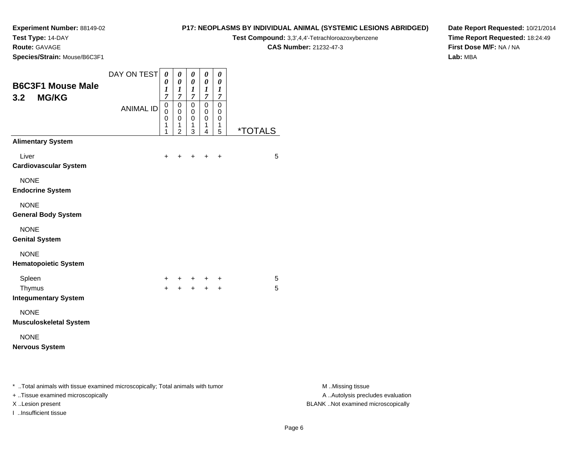**Test Type:** 14-DAY

**Route:** GAVAGE

**Species/Strain:** Mouse/B6C3F1

#### **P17: NEOPLASMS BY INDIVIDUAL ANIMAL (SYSTEMIC LESIONS ABRIDGED)**

**Test Compound:** 3,3',4,4'-Tetrachloroazoxybenzene

**CAS Number:** 21232-47-3

**Date Report Requested:** 10/21/2014**Time Report Requested:** 18:24:49**First Dose M/F:** NA / NA**Lab:** MBA

| <b>B6C3F1 Mouse Male</b><br><b>MG/KG</b><br>3.2                                                                        | DAY ON TEST      | 0<br>0<br>$\boldsymbol{l}$<br>$\overline{7}$ | $\boldsymbol{\theta}$<br>0<br>1<br>$\overline{7}$                | 0<br>0<br>1<br>$\overline{7}$   | $\boldsymbol{\theta}$<br>0<br>1<br>$\overline{7}$ | 0<br>0<br>1<br>$\overline{7}$   |                       |
|------------------------------------------------------------------------------------------------------------------------|------------------|----------------------------------------------|------------------------------------------------------------------|---------------------------------|---------------------------------------------------|---------------------------------|-----------------------|
|                                                                                                                        | <b>ANIMAL ID</b> | $\mathsf 0$<br>0<br>0<br>1<br>1              | $\mathbf 0$<br>$\mathbf 0$<br>$\mathbf 0$<br>1<br>$\overline{2}$ | $\mathbf 0$<br>0<br>0<br>1<br>3 | 0<br>0<br>0<br>1<br>$\overline{4}$                | $\mathbf 0$<br>0<br>0<br>1<br>5 | <i><b>*TOTALS</b></i> |
| <b>Alimentary System</b>                                                                                               |                  |                                              |                                                                  |                                 |                                                   |                                 |                       |
| Liver<br><b>Cardiovascular System</b>                                                                                  |                  | $\ddot{}$                                    | +                                                                |                                 | ٠                                                 | $\ddot{}$                       | 5                     |
| <b>NONE</b><br><b>Endocrine System</b>                                                                                 |                  |                                              |                                                                  |                                 |                                                   |                                 |                       |
| <b>NONE</b><br><b>General Body System</b>                                                                              |                  |                                              |                                                                  |                                 |                                                   |                                 |                       |
| <b>NONE</b><br><b>Genital System</b>                                                                                   |                  |                                              |                                                                  |                                 |                                                   |                                 |                       |
| <b>NONE</b><br><b>Hematopoietic System</b>                                                                             |                  |                                              |                                                                  |                                 |                                                   |                                 |                       |
| Spleen                                                                                                                 |                  | ÷                                            | ٠                                                                | $^+$                            |                                                   | +                               | 5                     |
| Thymus<br><b>Integumentary System</b>                                                                                  |                  | $+$                                          | $+$                                                              | $+$                             | $+$                                               | $+$                             | 5                     |
| <b>NONE</b><br><b>Musculoskeletal System</b>                                                                           |                  |                                              |                                                                  |                                 |                                                   |                                 |                       |
| <b>NONE</b><br><b>Nervous System</b>                                                                                   |                  |                                              |                                                                  |                                 |                                                   |                                 |                       |
| * Total animals with tissue examined microscopically; Total animals with tumor                                         |                  |                                              |                                                                  |                                 |                                                   |                                 |                       |
| والمستلم والمستنقذ والمستنقذ والمستنقذ والمستنقذ والمستنقذ والمستنقذ والمستنقذ والمستنقذ والمستنقذ والمستنقذ والمستنقذ |                  |                                              |                                                                  |                                 |                                                   |                                 |                       |

+ ..Tissue examined microscopically

I ..Insufficient tissue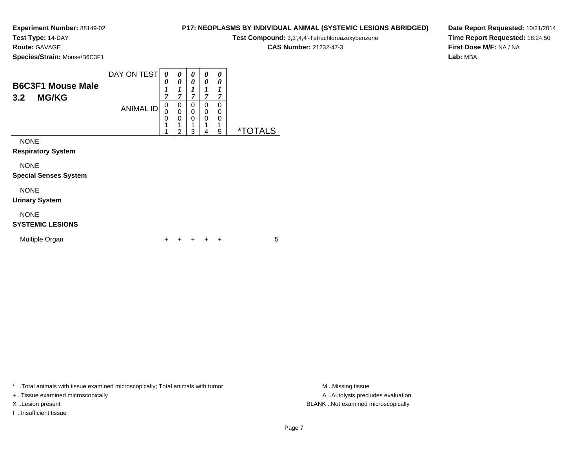**Test Type:** 14-DAY

**Route:** GAVAGE

**Species/Strain:** Mouse/B6C3F1

|                          | DAY ON TEST      | 0 |   | 0 | 0 | 0 |
|--------------------------|------------------|---|---|---|---|---|
|                          |                  | 0 |   | 0 | 0 | 0 |
| <b>B6C3F1 Mouse Male</b> |                  |   |   |   |   |   |
| <b>MG/KG</b><br>3.2      |                  | 7 | − | ~ | − | , |
|                          | <b>ANIMAL ID</b> | 0 | υ | 0 | 0 | 0 |
|                          |                  | 0 |   | 0 | 0 | 0 |
|                          |                  | 0 |   | 0 | 0 | 0 |
|                          |                  | А |   | и |   | ◢ |
|                          |                  |   | ີ | ว | 4 | 5 |

NONE

**Respiratory System**

NONE

**Special Senses System**

### NONE

**Urinary System**

### NONE

### **SYSTEMIC LESIONS**

| Multiple Organ |  |  |  | + + + + + |  |  |  |
|----------------|--|--|--|-----------|--|--|--|
|----------------|--|--|--|-----------|--|--|--|

\* ..Total animals with tissue examined microscopically; Total animals with tumor **M** ...Missing tissue M ...Missing tissue

+ ..Tissue examined microscopically

X ..Lesion present BLANK ..Not examined microscopically

I ..Insufficient tissue

**P17: NEOPLASMS BY INDIVIDUAL ANIMAL (SYSTEMIC LESIONS ABRIDGED)**

**Test Compound:** 3,3',4,4'-Tetrachloroazoxybenzene

**CAS Number:** 21232-47-3

**Date Report Requested:** 10/21/2014**Time Report Requested:** 18:24:50**First Dose M/F:** NA / NA**Lab:** MBA

Page 7

A .. Autolysis precludes evaluation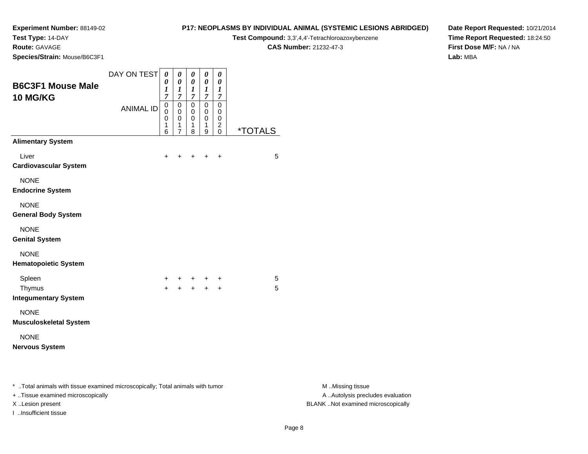### **Test Type:** 14-DAY

**Route:** GAVAGE

**Species/Strain:** Mouse/B6C3F1

### **P17: NEOPLASMS BY INDIVIDUAL ANIMAL (SYSTEMIC LESIONS ABRIDGED)**

**Test Compound:** 3,3',4,4'-Tetrachloroazoxybenzene

**CAS Number:** 21232-47-3

**Date Report Requested:** 10/21/2014**Time Report Requested:** 18:24:50**First Dose M/F:** NA / NA**Lab:** MBA

| <b>B6C3F1 Mouse Male</b><br><b>10 MG/KG</b>                                    | DAY ON TEST      | 0<br>0<br>$\boldsymbol{l}$<br>$\overline{7}$ | 0<br>$\boldsymbol{\theta}$<br>1<br>$\overline{7}$                | 0<br>$\pmb{\theta}$<br>$\boldsymbol{l}$<br>7 | 0<br>$\boldsymbol{\theta}$<br>$\boldsymbol{l}$<br>$\overline{7}$ | 0<br>0<br>1<br>7                             |                       |
|--------------------------------------------------------------------------------|------------------|----------------------------------------------|------------------------------------------------------------------|----------------------------------------------|------------------------------------------------------------------|----------------------------------------------|-----------------------|
|                                                                                | <b>ANIMAL ID</b> | 0<br>0<br>0<br>$\mathbf{1}$<br>6             | $\mathbf 0$<br>$\mathbf 0$<br>0<br>$\mathbf 1$<br>$\overline{7}$ | $\mathbf 0$<br>0<br>0<br>1<br>8              | 0<br>0<br>$\mathbf 0$<br>1<br>9                                  | $\mathbf 0$<br>0<br>0<br>$\overline{c}$<br>0 | <i><b>*TOTALS</b></i> |
| <b>Alimentary System</b>                                                       |                  |                                              |                                                                  |                                              |                                                                  |                                              |                       |
| Liver<br><b>Cardiovascular System</b>                                          |                  | $\ddot{}$                                    |                                                                  |                                              |                                                                  | $\ddot{}$                                    | 5                     |
| <b>NONE</b><br><b>Endocrine System</b>                                         |                  |                                              |                                                                  |                                              |                                                                  |                                              |                       |
| <b>NONE</b><br><b>General Body System</b>                                      |                  |                                              |                                                                  |                                              |                                                                  |                                              |                       |
| <b>NONE</b><br><b>Genital System</b>                                           |                  |                                              |                                                                  |                                              |                                                                  |                                              |                       |
| <b>NONE</b><br><b>Hematopoietic System</b>                                     |                  |                                              |                                                                  |                                              |                                                                  |                                              |                       |
| Spleen                                                                         |                  | +                                            |                                                                  |                                              | + + +                                                            | $\ddot{}$                                    | 5                     |
| Thymus<br><b>Integumentary System</b>                                          |                  | $+$                                          |                                                                  |                                              | $+ + +$                                                          | $+$                                          | 5                     |
| <b>NONE</b><br><b>Musculoskeletal System</b>                                   |                  |                                              |                                                                  |                                              |                                                                  |                                              |                       |
| <b>NONE</b><br><b>Nervous System</b>                                           |                  |                                              |                                                                  |                                              |                                                                  |                                              |                       |
| * Total animals with tissue examined microscopically; Total animals with tumor |                  |                                              |                                                                  |                                              |                                                                  |                                              |                       |

+ ..Tissue examined microscopically

I ..Insufficient tissue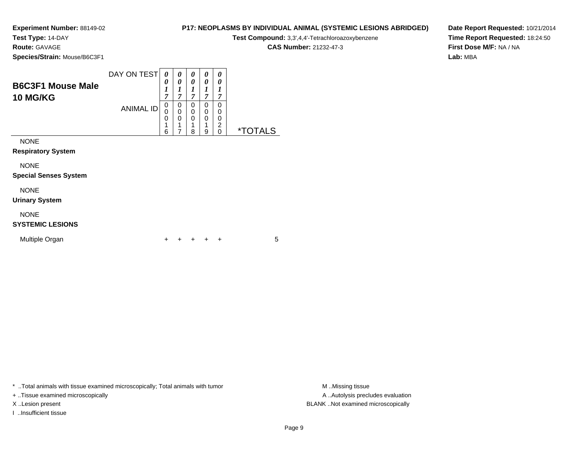**Test Type:** 14-DAY

**Route:** GAVAGE

**Species/Strain:** Mouse/B6C3F1

#### DAY ON TEST**B6C3F1 Mouse Male10 MG/KG**ANIMAL ID*0 0 1 7* 0 0 0 1 6*0 0 1 7*0<br>0<br>0<br>1 7*0 0 1 7* 0 0 0 1 8*0 0 1 7* 0 0 0 1 9*0 0 1 7* 0 0 0 2 0 \*TOTALS

NONE

**Respiratory System**

NONE

**Special Senses System**

## NONE

**Urinary System**

### NONE

### **SYSTEMIC LESIONS**

| Multiple Organ |  |  |  | + + + + + |  |  |  |
|----------------|--|--|--|-----------|--|--|--|
|----------------|--|--|--|-----------|--|--|--|

\* ..Total animals with tissue examined microscopically; Total animals with tumor **M** ..Missing tissue M ..Missing tissue

+ ..Tissue examined microscopically

I ..Insufficient tissue

**P17: NEOPLASMS BY INDIVIDUAL ANIMAL (SYSTEMIC LESIONS ABRIDGED)**

**Test Compound:** 3,3',4,4'-Tetrachloroazoxybenzene

**CAS Number:** 21232-47-3

**Date Report Requested:** 10/21/2014**Time Report Requested:** 18:24:50**First Dose M/F:** NA / NA**Lab:** MBA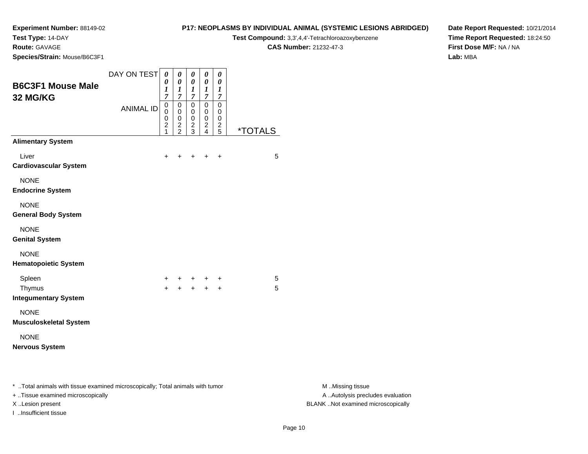### **Test Type:** 14-DAY

**Route:** GAVAGE

**Species/Strain:** Mouse/B6C3F1

#### **P17: NEOPLASMS BY INDIVIDUAL ANIMAL (SYSTEMIC LESIONS ABRIDGED)**

**Test Compound:** 3,3',4,4'-Tetrachloroazoxybenzene

**CAS Number:** 21232-47-3

**Date Report Requested:** 10/21/2014**Time Report Requested:** 18:24:50**First Dose M/F:** NA / NA**Lab:** MBA

| <b>B6C3F1 Mouse Male</b><br>32 MG/KG                                           | DAY ON TEST      | 0<br>0<br>1<br>$\overline{7}$      | $\boldsymbol{\theta}$<br>$\boldsymbol{\theta}$<br>$\boldsymbol{l}$<br>$\overline{7}$ | 0<br>$\pmb{\theta}$<br>1<br>$\overline{7}$   | 0<br>$\boldsymbol{\theta}$<br>$\boldsymbol{l}$<br>$\overline{7}$ | $\boldsymbol{\theta}$<br>$\boldsymbol{\theta}$<br>1<br>$\overline{7}$ |                       |
|--------------------------------------------------------------------------------|------------------|------------------------------------|--------------------------------------------------------------------------------------|----------------------------------------------|------------------------------------------------------------------|-----------------------------------------------------------------------|-----------------------|
|                                                                                | <b>ANIMAL ID</b> | 0<br>0<br>0<br>$\overline{c}$<br>1 | $\mathsf 0$<br>$\mathbf 0$<br>$\mathbf 0$<br>$\overline{c}$<br>$\overline{2}$        | 0<br>$\mathbf 0$<br>0<br>$\overline{c}$<br>3 | $\pmb{0}$<br>$\mathbf 0$<br>$\mathbf 0$<br>$\boldsymbol{2}$<br>4 | 0<br>0<br>0<br>$\overline{c}$<br>5                                    | <i><b>*TOTALS</b></i> |
| <b>Alimentary System</b>                                                       |                  |                                    |                                                                                      |                                              |                                                                  |                                                                       |                       |
| Liver<br><b>Cardiovascular System</b>                                          |                  | ٠                                  |                                                                                      |                                              | +                                                                | +                                                                     | 5                     |
| <b>NONE</b><br><b>Endocrine System</b>                                         |                  |                                    |                                                                                      |                                              |                                                                  |                                                                       |                       |
| <b>NONE</b><br><b>General Body System</b>                                      |                  |                                    |                                                                                      |                                              |                                                                  |                                                                       |                       |
| <b>NONE</b><br><b>Genital System</b>                                           |                  |                                    |                                                                                      |                                              |                                                                  |                                                                       |                       |
| <b>NONE</b><br><b>Hematopoietic System</b>                                     |                  |                                    |                                                                                      |                                              |                                                                  |                                                                       |                       |
| Spleen                                                                         |                  | +                                  | +                                                                                    | $+$                                          | $^+$                                                             | +                                                                     | 5                     |
| Thymus<br><b>Integumentary System</b>                                          |                  | $\ddot{}$                          | $+$                                                                                  |                                              | $+ +$                                                            | $\ddot{}$                                                             | 5                     |
| <b>NONE</b><br><b>Musculoskeletal System</b>                                   |                  |                                    |                                                                                      |                                              |                                                                  |                                                                       |                       |
| <b>NONE</b><br><b>Nervous System</b>                                           |                  |                                    |                                                                                      |                                              |                                                                  |                                                                       |                       |
|                                                                                |                  |                                    |                                                                                      |                                              |                                                                  |                                                                       |                       |
| * Total animals with tissue examined microscopically; Total animals with tumor |                  |                                    |                                                                                      |                                              |                                                                  |                                                                       |                       |

+ ..Tissue examined microscopically

I ..Insufficient tissue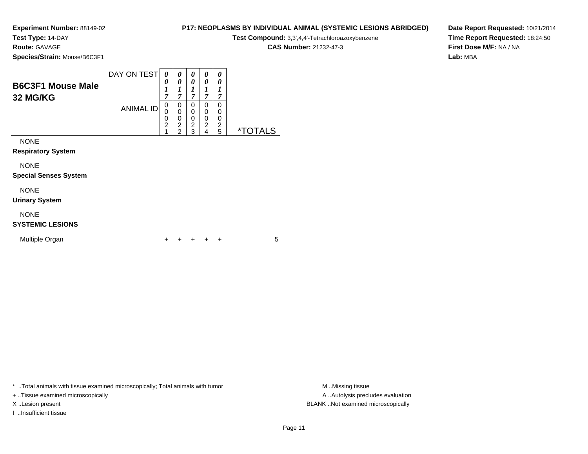**Test Type:** 14-DAY

**Route:** GAVAGE

**Urinary System**

**SYSTEMIC LESIONS**

Multiple Organ

NONE

**Species/Strain:** Mouse/B6C3F1

| louse/B6C3F1 |                                                                                             |  |  | <b>CAS Number: 21232-47-3</b> |
|--------------|---------------------------------------------------------------------------------------------|--|--|-------------------------------|
|              | DAY ON TEST $\mid$ $\theta$ $\mid$ $\theta$ $\mid$ $\theta$ $\mid$ $\theta$ $\mid$ $\theta$ |  |  |                               |

<sup>+</sup> <sup>+</sup> <sup>+</sup> <sup>+</sup> <sup>5</sup>

**B6C3F1 Mouse Male32 MG/KG**ANIMAL ID *0 1 7*0<br>0<br>0<br>2<br>1 *0 1 7*0<br>0<br>0<br>2<br>2 *0 1 7* 0 0 0 2 3 *0 1 7* 0 0 0 2 4 *0 1 7*0<br>0<br>0<br>2<br>5 5 \*TOTALSNONE **Respiratory System**NONE **Special Senses System**NONE

\* ..Total animals with tissue examined microscopically; Total animals with tumor **M** ..Missing tissue M ..Missing tissue

n  $+$ 

+ ..Tissue examined microscopically

I ..Insufficient tissue

A ..Autolysis precludes evaluation X ..Lesion present BLANK ..Not examined microscopically

**Test Compound:** 3,3',4,4'-Tetrachloroazoxybenzene

**P17: NEOPLASMS BY INDIVIDUAL ANIMAL (SYSTEMIC LESIONS ABRIDGED)Date Report Requested:** 10/21/2014**Time Report Requested:** 18:24:50**First Dose M/F:** NA / NA**Lab:** MBA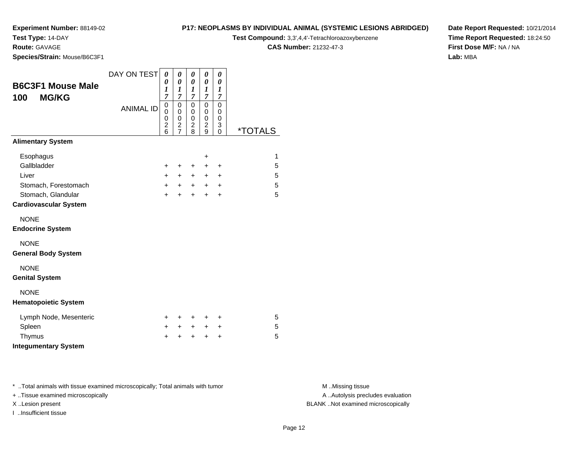### **Test Type:** 14-DAY

**Route:** GAVAGE

**Species/Strain:** Mouse/B6C3F1

#### **P17: NEOPLASMS BY INDIVIDUAL ANIMAL (SYSTEMIC LESIONS ABRIDGED)**

**Test Compound:** 3,3',4,4'-Tetrachloroazoxybenzene

**CAS Number:** 21232-47-3

**Date Report Requested:** 10/21/2014**Time Report Requested:** 18:24:50**First Dose M/F:** NA / NA**Lab:** MBA

| <b>B6C3F1 Mouse Male</b><br><b>MG/KG</b><br>100 | DAY ON TEST<br><b>ANIMAL ID</b> | 0<br>0<br>1<br>$\overline{7}$<br>0     | 0<br>0<br>$\boldsymbol{l}$<br>7<br>$\mathbf 0$ | 0<br>0<br>$\boldsymbol{l}$<br>$\overline{7}$<br>0        | 0<br>0<br>$\boldsymbol{l}$<br>$\overline{7}$<br>$\mathbf 0$ | 0<br>$\pmb{\theta}$<br>1<br>7<br>$\mathbf 0$ |                       |
|-------------------------------------------------|---------------------------------|----------------------------------------|------------------------------------------------|----------------------------------------------------------|-------------------------------------------------------------|----------------------------------------------|-----------------------|
|                                                 |                                 | 0<br>0<br>$\overline{\mathbf{c}}$<br>6 | $\pmb{0}$<br>$\mathbf 0$<br>$\frac{2}{7}$      | $\pmb{0}$<br>$\mathbf 0$<br>$\overline{\mathbf{c}}$<br>8 | 0<br>$\mathbf 0$<br>$\overline{\mathbf{c}}$<br>9            | 0<br>0<br>3<br>0                             | <i><b>*TOTALS</b></i> |
| <b>Alimentary System</b>                        |                                 |                                        |                                                |                                                          |                                                             |                                              |                       |
| Esophagus                                       |                                 |                                        |                                                |                                                          | +                                                           |                                              | 1                     |
| Gallbladder                                     |                                 | $\ddot{}$                              | $\ddot{}$                                      | $\ddot{}$                                                | $\ddot{}$                                                   | $\ddot{}$                                    | 5                     |
| Liver                                           |                                 | $\ddot{}$                              | $+$                                            | $+$                                                      | $+$                                                         | $\ddot{}$                                    | 5                     |
| Stomach, Forestomach                            |                                 | $\ddot{}$                              | $+$                                            | $+$                                                      | $+$                                                         | $\ddot{}$                                    | 5                     |
| Stomach, Glandular                              |                                 | $\ddot{}$                              | $\ddot{}$                                      | $\ddot{}$                                                | $\ddot{}$                                                   | $\ddot{}$                                    | 5                     |
| <b>Cardiovascular System</b>                    |                                 |                                        |                                                |                                                          |                                                             |                                              |                       |
| <b>NONE</b>                                     |                                 |                                        |                                                |                                                          |                                                             |                                              |                       |
| <b>Endocrine System</b>                         |                                 |                                        |                                                |                                                          |                                                             |                                              |                       |
| <b>NONE</b>                                     |                                 |                                        |                                                |                                                          |                                                             |                                              |                       |
| <b>General Body System</b>                      |                                 |                                        |                                                |                                                          |                                                             |                                              |                       |
| <b>NONE</b>                                     |                                 |                                        |                                                |                                                          |                                                             |                                              |                       |
| <b>Genital System</b>                           |                                 |                                        |                                                |                                                          |                                                             |                                              |                       |
| <b>NONE</b>                                     |                                 |                                        |                                                |                                                          |                                                             |                                              |                       |
| <b>Hematopoietic System</b>                     |                                 |                                        |                                                |                                                          |                                                             |                                              |                       |
| Lymph Node, Mesenteric                          |                                 | $\pm$                                  | +                                              | ٠                                                        |                                                             | +                                            | 5                     |
| Spleen                                          |                                 | ٠                                      | $\pm$                                          | $+$                                                      | $\pm$                                                       | +                                            | 5                     |
| Thymus                                          |                                 | $\ddot{}$                              | $\ddot{}$                                      | $\ddot{}$                                                | $\ddot{}$                                                   | $\ddot{}$                                    | 5                     |
| <b>Integumentary System</b>                     |                                 |                                        |                                                |                                                          |                                                             |                                              |                       |

\* ..Total animals with tissue examined microscopically; Total animals with tumor **M** . Missing tissue M ..Missing tissue

+ ..Tissue examined microscopically

I ..Insufficient tissue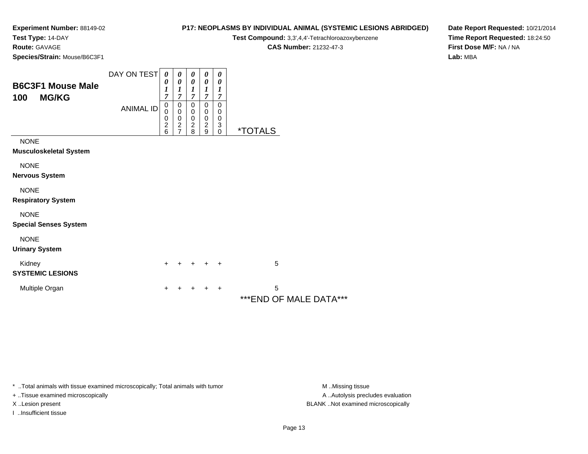**Test Type:** 14-DAY

**Route:** GAVAGE

**Species/Strain:** Mouse/B6C3F1

### **P17: NEOPLASMS BY INDIVIDUAL ANIMAL (SYSTEMIC LESIONS ABRIDGED)**

**Test Compound:** 3,3',4,4'-Tetrachloroazoxybenzene

**CAS Number:** 21232-47-3

**Date Report Requested:** 10/21/2014**Time Report Requested:** 18:24:50**First Dose M/F:** NA / NA**Lab:** MBA

| <b>B6C3F1 Mouse Male</b><br>100<br><b>MG/KG</b> | DAY ON TEST<br><b>ANIMAL ID</b> | 0<br>0<br>1<br>7<br>0<br>0<br>0<br>$\overline{\mathbf{c}}$<br>6 | 0<br>$\boldsymbol{\theta}$<br>1<br>7<br>0<br>$\pmb{0}$<br>$\pmb{0}$<br>$\boldsymbol{2}$<br>$\overline{7}$ | 0<br>$\boldsymbol{\theta}$<br>$\boldsymbol{l}$<br>$\overline{7}$<br>0<br>$\mathbf 0$<br>$\begin{array}{c} 0 \\ 2 \\ 8 \end{array}$ | 0<br>0<br>1<br>$\overline{7}$<br>0<br>0<br>0<br>$\boldsymbol{2}$<br>9 | 0<br>0<br>1<br>7<br>0<br>0<br>0<br>3<br>$\pmb{0}$ | <i><b>*TOTALS</b></i> |                         |  |
|-------------------------------------------------|---------------------------------|-----------------------------------------------------------------|-----------------------------------------------------------------------------------------------------------|------------------------------------------------------------------------------------------------------------------------------------|-----------------------------------------------------------------------|---------------------------------------------------|-----------------------|-------------------------|--|
| <b>NONE</b><br>Musculoskeletal System           |                                 |                                                                 |                                                                                                           |                                                                                                                                    |                                                                       |                                                   |                       |                         |  |
| <b>NONE</b><br>Nervous System                   |                                 |                                                                 |                                                                                                           |                                                                                                                                    |                                                                       |                                                   |                       |                         |  |
| <b>NONE</b><br><b>Respiratory System</b>        |                                 |                                                                 |                                                                                                           |                                                                                                                                    |                                                                       |                                                   |                       |                         |  |
| <b>NONE</b><br><b>Special Senses System</b>     |                                 |                                                                 |                                                                                                           |                                                                                                                                    |                                                                       |                                                   |                       |                         |  |
| <b>NONE</b><br><b>Urinary System</b>            |                                 |                                                                 |                                                                                                           |                                                                                                                                    |                                                                       |                                                   |                       |                         |  |
| Kidney<br><b>SYSTEMIC LESIONS</b>               |                                 | $\pm$                                                           |                                                                                                           |                                                                                                                                    | $\div$                                                                | $\ddot{}$                                         | 5                     |                         |  |
| Multiple Organ                                  |                                 | $\pm$                                                           |                                                                                                           | +                                                                                                                                  | +                                                                     | $\ddot{}$                                         | 5                     | *** END OF MALE DATA*** |  |

\* ..Total animals with tissue examined microscopically; Total animals with tumor **M** . Missing tissue M ..Missing tissue

+ ..Tissue examined microscopically

I ..Insufficient tissue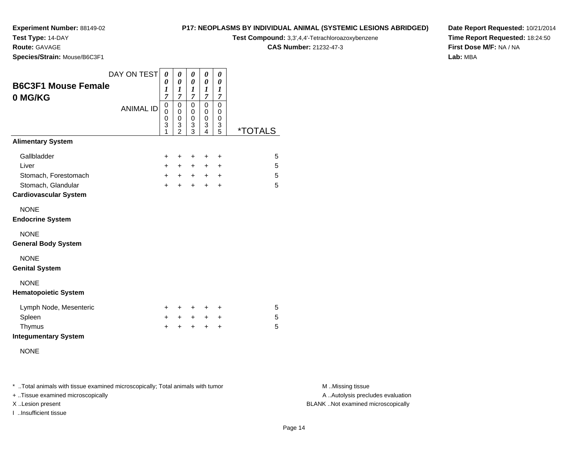### **Test Type:** 14-DAY

**Route:** GAVAGE

**Species/Strain:** Mouse/B6C3F1

### **P17: NEOPLASMS BY INDIVIDUAL ANIMAL (SYSTEMIC LESIONS ABRIDGED)**

**Test Compound:** 3,3',4,4'-Tetrachloroazoxybenzene

**CAS Number:** 21232-47-3

**Date Report Requested:** 10/21/2014**Time Report Requested:** 18:24:50**First Dose M/F:** NA / NA**Lab:** MBA

| <b>B6C3F1 Mouse Female</b><br>0 MG/KG      | DAY ON TEST      | 0<br>0<br>$\boldsymbol{l}$<br>$\overline{7}$ | 0<br>$\boldsymbol{\theta}$<br>1<br>$\overline{7}$ | 0<br>0<br>1<br>7      | 0<br>0<br>1<br>$\overline{7}$ | 0<br>0<br>$\boldsymbol{l}$<br>$\overline{7}$            |                       |
|--------------------------------------------|------------------|----------------------------------------------|---------------------------------------------------|-----------------------|-------------------------------|---------------------------------------------------------|-----------------------|
|                                            | <b>ANIMAL ID</b> | 0<br>0<br>0<br>3<br>1                        | 0<br>0<br>0<br>3<br>$\overline{2}$                | 0<br>0<br>0<br>3<br>3 | 0<br>0<br>0<br>3<br>4         | $\mathbf 0$<br>0<br>0<br>$\ensuremath{\mathsf{3}}$<br>5 | <i><b>*TOTALS</b></i> |
| <b>Alimentary System</b>                   |                  |                                              |                                                   |                       |                               |                                                         |                       |
| Gallbladder                                |                  | $\ddot{}$                                    | +                                                 | ÷                     | $\ddot{}$                     | $\ddot{}$                                               | 5                     |
| Liver                                      |                  | $+$                                          | $+$                                               | $+$                   | $\ddot{}$                     | $\ddot{}$                                               | 5                     |
| Stomach, Forestomach<br>Stomach, Glandular |                  | $+$<br>$\ddot{}$                             | $+$ $-$                                           | $+$<br>$+$            | $+$                           | $\ddot{}$                                               | 5<br>5                |
| <b>Cardiovascular System</b>               |                  |                                              | $\ddot{}$                                         |                       | $\ddot{}$                     | $\ddot{}$                                               |                       |
| <b>NONE</b><br><b>Endocrine System</b>     |                  |                                              |                                                   |                       |                               |                                                         |                       |
| <b>NONE</b><br><b>General Body System</b>  |                  |                                              |                                                   |                       |                               |                                                         |                       |
| <b>NONE</b><br><b>Genital System</b>       |                  |                                              |                                                   |                       |                               |                                                         |                       |
| <b>NONE</b><br><b>Hematopoietic System</b> |                  |                                              |                                                   |                       |                               |                                                         |                       |
| Lymph Node, Mesenteric                     |                  | $\pm$                                        | ÷                                                 | $\ddot{}$             | $\ddot{}$                     | $\ddot{}$                                               | 5                     |
| Spleen                                     |                  | $+$                                          | +                                                 | $+$                   | $\ddot{}$                     | $\ddot{}$                                               | 5                     |
| Thymus<br><b>Integumentary System</b>      |                  | $\ddot{}$                                    | ÷                                                 | +                     | $\ddot{}$                     | $\ddot{}$                                               | 5                     |
| <b>NONE</b>                                |                  |                                              |                                                   |                       |                               |                                                         |                       |

\* ..Total animals with tissue examined microscopically; Total animals with tumor **M** . Missing tissue M ..Missing tissue

+ ..Tissue examined microscopically

I ..Insufficient tissue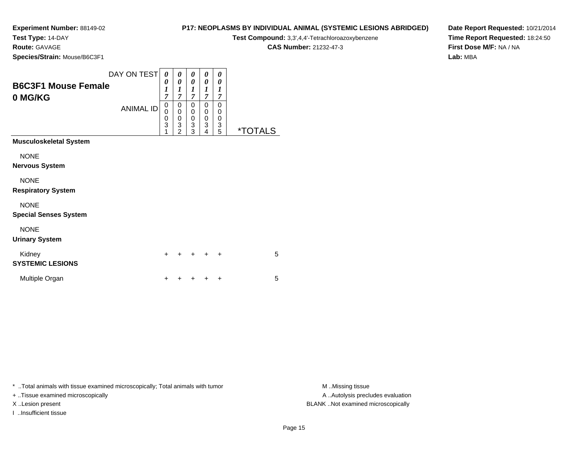**Test Type:** 14-DAY

**Route:** GAVAGE

**Species/Strain:** Mouse/B6C3F1

### **P17: NEOPLASMS BY INDIVIDUAL ANIMAL (SYSTEMIC LESIONS ABRIDGED)**

**Test Compound:** 3,3',4,4'-Tetrachloroazoxybenzene

**CAS Number:** 21232-47-3

**Date Report Requested:** 10/21/2014**Time Report Requested:** 18:24:50**First Dose M/F:** NA / NA**Lab:** MBA

| <b>B6C3F1 Mouse Female</b><br>0 MG/KG                                                                                                          | DAY ON TEST<br><b>ANIMAL ID</b> | 0<br>0<br>$\boldsymbol{l}$<br>7<br>0<br>0<br>$\mathbf 0$<br>$\overline{3}$ | 0<br>0<br>1<br>$\overline{7}$<br>0<br>0<br>$\mathbf 0$<br>3 | 0<br>0<br>1<br>$\overline{7}$<br>0<br>0<br>$\mathbf 0$<br>$\overline{3}$ | 0<br>0<br>1<br>$\overline{\tau}$<br>0<br>0<br>0<br>3 | 0<br>0<br>1<br>7<br>0<br>0<br>0<br>3 |                       |
|------------------------------------------------------------------------------------------------------------------------------------------------|---------------------------------|----------------------------------------------------------------------------|-------------------------------------------------------------|--------------------------------------------------------------------------|------------------------------------------------------|--------------------------------------|-----------------------|
| <b>Musculoskeletal System</b>                                                                                                                  |                                 | 1                                                                          | $\overline{2}$                                              | 3                                                                        | 4                                                    | 5                                    | <i><b>*TOTALS</b></i> |
| <b>NONE</b><br><b>Nervous System</b><br><b>NONE</b><br><b>Respiratory System</b><br><b>NONE</b><br><b>Special Senses System</b><br><b>NONE</b> |                                 |                                                                            |                                                             |                                                                          |                                                      |                                      |                       |
| <b>Urinary System</b>                                                                                                                          |                                 |                                                                            |                                                             |                                                                          |                                                      |                                      |                       |
| Kidney<br><b>SYSTEMIC LESIONS</b>                                                                                                              |                                 | $\ddot{}$                                                                  |                                                             | ٠                                                                        |                                                      | $\ddot{}$                            | 5                     |
| Multiple Organ                                                                                                                                 |                                 | +                                                                          |                                                             |                                                                          |                                                      | +                                    | 5                     |

\* ..Total animals with tissue examined microscopically; Total animals with tumor **M** . Missing tissue M ..Missing tissue

+ ..Tissue examined microscopically

I ..Insufficient tissue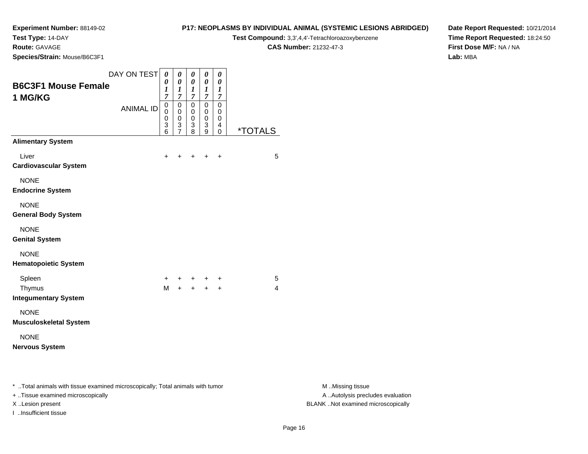**Test Type:** 14-DAY

**Route:** GAVAGE

**Species/Strain:** Mouse/B6C3F1

### **P17: NEOPLASMS BY INDIVIDUAL ANIMAL (SYSTEMIC LESIONS ABRIDGED)Test Compound:** 3,3',4,4'-Tetrachloroazoxybenzene

**CAS Number:** 21232-47-3

**Date Report Requested:** 10/21/2014**Time Report Requested:** 18:24:50**First Dose M/F:** NA / NA**Lab:** MBA

|                                                                                                                   | DAY ON TEST      | 0                               | $\boldsymbol{\theta}$                          | 0                               | 0                                                       | $\boldsymbol{\theta}$           |                       |
|-------------------------------------------------------------------------------------------------------------------|------------------|---------------------------------|------------------------------------------------|---------------------------------|---------------------------------------------------------|---------------------------------|-----------------------|
| <b>B6C3F1 Mouse Female</b><br>1 MG/KG                                                                             |                  | 0<br>$\boldsymbol{l}$<br>7      | $\boldsymbol{\theta}$<br>$\boldsymbol{l}$<br>7 | 0<br>$\boldsymbol{l}$<br>7      | 0<br>$\boldsymbol{l}$<br>7                              | 0<br>1<br>7                     |                       |
|                                                                                                                   | <b>ANIMAL ID</b> | $\mathbf 0$<br>0<br>0<br>3<br>6 | $\mathbf 0$<br>0<br>0<br>3<br>$\overline{7}$   | $\mathbf 0$<br>0<br>0<br>3<br>8 | $\mathbf 0$<br>0<br>0<br>$\ensuremath{\mathsf{3}}$<br>9 | $\mathbf 0$<br>0<br>0<br>4<br>0 | <i><b>*TOTALS</b></i> |
| <b>Alimentary System</b>                                                                                          |                  |                                 |                                                |                                 |                                                         |                                 |                       |
| Liver<br><b>Cardiovascular System</b>                                                                             |                  | +                               | +                                              | +                               |                                                         | $\ddot{}$                       | 5                     |
| <b>NONE</b><br><b>Endocrine System</b>                                                                            |                  |                                 |                                                |                                 |                                                         |                                 |                       |
| <b>NONE</b><br><b>General Body System</b>                                                                         |                  |                                 |                                                |                                 |                                                         |                                 |                       |
| <b>NONE</b><br><b>Genital System</b>                                                                              |                  |                                 |                                                |                                 |                                                         |                                 |                       |
| <b>NONE</b><br><b>Hematopoietic System</b>                                                                        |                  |                                 |                                                |                                 |                                                         |                                 |                       |
| Spleen                                                                                                            |                  | +                               | +                                              | $+$                             | $\ddot{}$                                               | $\div$                          | 5                     |
| Thymus<br><b>Integumentary System</b>                                                                             |                  | M                               |                                                |                                 | $+ + +$                                                 | $\ddot{}$                       | 4                     |
| <b>NONE</b><br><b>Musculoskeletal System</b>                                                                      |                  |                                 |                                                |                                 |                                                         |                                 |                       |
| <b>NONE</b><br><b>Nervous System</b>                                                                              |                  |                                 |                                                |                                 |                                                         |                                 |                       |
| * Total animals with tissue examined microscopically; Total animals with tumor<br>Tiesus sysmined misrossenically |                  |                                 |                                                |                                 |                                                         |                                 |                       |

+ ..Tissue examined microscopically

I ..Insufficient tissue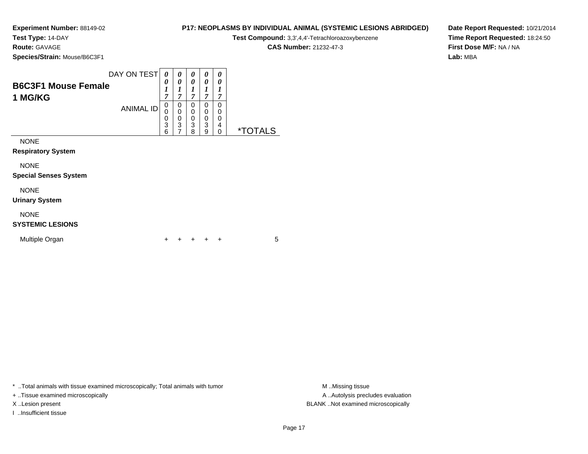# **Test Type:** 14-DAY

**Route:** GAVAGE

**Species/Strain:** Mouse/B6C3F1

| Test Compound: 3,3',4,4'-Tetrachloroazoxybenzene |
|--------------------------------------------------|
| $CAC$ Number $24222.472$                         |

**CAS Number:** 21232-47-3

**P17: NEOPLASMS BY INDIVIDUAL ANIMAL (SYSTEMIC LESIONS ABRIDGED)**

**Date Report Requested:** 10/21/2014**Time Report Requested:** 18:24:50**First Dose M/F:** NA / NA**Lab:** MBA

| <b>B6C3F1 Mouse Female</b><br>1 MG/KG       | DAY ON TEST<br><b>ANIMAL ID</b> | 0<br>0<br>1<br>$\overline{7}$<br>0<br>0 | 0<br>0<br>1<br>7<br>0<br>$\mathbf 0$ | 0<br>0<br>1<br>7<br>0<br>0 | 0<br>0<br>1<br>7<br>0<br>0 | 0<br>0<br>1<br>7<br>0<br>0 |                       |
|---------------------------------------------|---------------------------------|-----------------------------------------|--------------------------------------|----------------------------|----------------------------|----------------------------|-----------------------|
|                                             |                                 | $\frac{0}{3}$<br>6                      | $\mathbf 0$<br>3                     | 0<br>3<br>8                | 0<br>3<br>9                | 0<br>4<br>$\mathbf 0$      | <i><b>*TOTALS</b></i> |
| <b>NONE</b><br><b>Respiratory System</b>    |                                 |                                         |                                      |                            |                            |                            |                       |
| <b>NONE</b><br><b>Special Senses System</b> |                                 |                                         |                                      |                            |                            |                            |                       |
| <b>NONE</b><br><b>Urinary System</b>        |                                 |                                         |                                      |                            |                            |                            |                       |
| <b>NONE</b><br><b>SYSTEMIC LESIONS</b>      |                                 |                                         |                                      |                            |                            |                            |                       |

| Multiple Organ |  |  |  | + + + + + |  |  |  |
|----------------|--|--|--|-----------|--|--|--|
|----------------|--|--|--|-----------|--|--|--|

\* ..Total animals with tissue examined microscopically; Total animals with tumor **M** . Missing tissue M ..Missing tissue

+ ..Tissue examined microscopically

I ..Insufficient tissue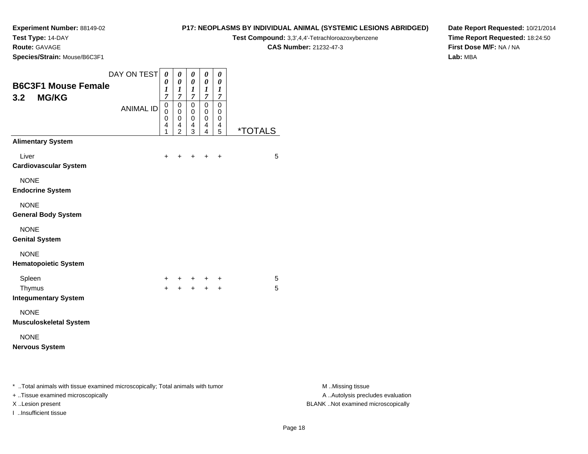**Test Type:** 14-DAY

**Route:** GAVAGE

**Species/Strain:** Mouse/B6C3F1

### **P17: NEOPLASMS BY INDIVIDUAL ANIMAL (SYSTEMIC LESIONS ABRIDGED)**

**Test Compound:** 3,3',4,4'-Tetrachloroazoxybenzene

**CAS Number:** 21232-47-3

**Date Report Requested:** 10/21/2014**Time Report Requested:** 18:24:50**First Dose M/F:** NA / NA**Lab:** MBA

|                                                                                | DAY ON TEST      | $\boldsymbol{\theta}$      | 0                          | $\pmb{\theta}$        | $\pmb{\theta}$   | 0                |                       |
|--------------------------------------------------------------------------------|------------------|----------------------------|----------------------------|-----------------------|------------------|------------------|-----------------------|
| <b>B6C3F1 Mouse Female</b>                                                     |                  | 0<br>$\boldsymbol{l}$      | 0<br>1                     | 0<br>$\boldsymbol{l}$ | 0<br>1           | 0<br>1           |                       |
| <b>MG/KG</b><br>3.2                                                            |                  | $\overline{7}$             | $\overline{7}$             | $\overline{7}$        | $\overline{7}$   | $\overline{7}$   |                       |
|                                                                                | <b>ANIMAL ID</b> | $\mathbf 0$<br>$\mathbf 0$ | $\mathbf 0$<br>$\mathbf 0$ | $\mathbf 0$<br>0      | $\mathbf 0$<br>0 | $\mathbf 0$<br>0 |                       |
|                                                                                |                  | 0<br>4                     | 0<br>4                     | 0<br>4                | 0<br>4           | 0<br>4           |                       |
|                                                                                |                  | 1                          | $\overline{2}$             | 3                     | 4                | 5                | <i><b>*TOTALS</b></i> |
| <b>Alimentary System</b>                                                       |                  |                            |                            |                       |                  |                  |                       |
| Liver                                                                          |                  | +                          |                            |                       | ÷                | $\ddot{}$        | 5                     |
| <b>Cardiovascular System</b>                                                   |                  |                            |                            |                       |                  |                  |                       |
| <b>NONE</b>                                                                    |                  |                            |                            |                       |                  |                  |                       |
| <b>Endocrine System</b>                                                        |                  |                            |                            |                       |                  |                  |                       |
| <b>NONE</b>                                                                    |                  |                            |                            |                       |                  |                  |                       |
| <b>General Body System</b>                                                     |                  |                            |                            |                       |                  |                  |                       |
| <b>NONE</b>                                                                    |                  |                            |                            |                       |                  |                  |                       |
| <b>Genital System</b>                                                          |                  |                            |                            |                       |                  |                  |                       |
| <b>NONE</b>                                                                    |                  |                            |                            |                       |                  |                  |                       |
| <b>Hematopoietic System</b>                                                    |                  |                            |                            |                       |                  |                  |                       |
| Spleen                                                                         |                  | +                          |                            |                       |                  | $\ddot{}$        | 5                     |
| Thymus                                                                         |                  | $\ddot{}$                  | $\ddot{}$                  | $+$                   | $+$              | $\ddot{}$        | 5                     |
| <b>Integumentary System</b>                                                    |                  |                            |                            |                       |                  |                  |                       |
| <b>NONE</b>                                                                    |                  |                            |                            |                       |                  |                  |                       |
| <b>Musculoskeletal System</b>                                                  |                  |                            |                            |                       |                  |                  |                       |
| <b>NONE</b>                                                                    |                  |                            |                            |                       |                  |                  |                       |
| <b>Nervous System</b>                                                          |                  |                            |                            |                       |                  |                  |                       |
|                                                                                |                  |                            |                            |                       |                  |                  |                       |
|                                                                                |                  |                            |                            |                       |                  |                  |                       |
| * Total animals with tissue examined microscopically; Total animals with tumor |                  |                            |                            |                       |                  |                  |                       |
| Ticcuo ovaminod microscopically                                                |                  |                            |                            |                       |                  |                  |                       |

+ ..Tissue examined microscopically

I ..Insufficient tissue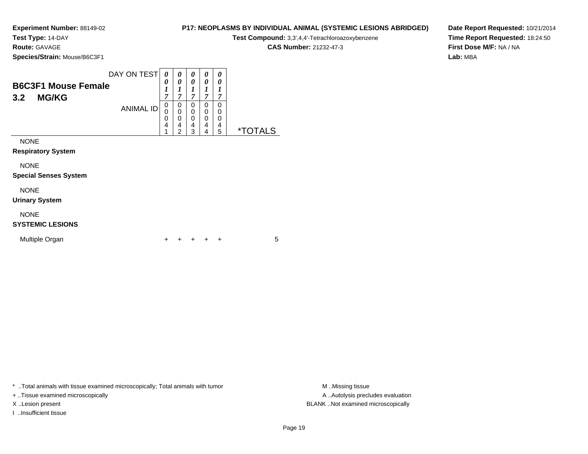**Test Type:** 14-DAY

**Route:** GAVAGE

**Species/Strain:** Mouse/B6C3F1

### **P17: NEOPLASMS BY INDIVIDUAL ANIMAL (SYSTEMIC LESIONS ABRIDGED)**

**Test Compound:** 3,3',4,4'-Tetrachloroazoxybenzene

**CAS Number:** 21232-47-3

**Date Report Requested:** 10/21/2014**Time Report Requested:** 18:24:50**First Dose M/F:** NA / NA**Lab:** MBA

| <b>B6C3F1 Mouse Female</b>   | DAY ON TEST      | 0<br>0                     | $\boldsymbol{\theta}$<br>0                   | 0<br>0                | 0<br>0                | 0<br>0                |                       |
|------------------------------|------------------|----------------------------|----------------------------------------------|-----------------------|-----------------------|-----------------------|-----------------------|
| <b>MG/KG</b><br>3.2          |                  | 1<br>7                     | 1<br>7                                       | 1<br>$\overline{7}$   | 1<br>7                | 1<br>7                |                       |
|                              | <b>ANIMAL ID</b> | 0<br>0<br>$\mathbf 0$<br>4 | 0<br>0<br>$\mathbf 0$<br>4<br>$\overline{2}$ | 0<br>0<br>0<br>4<br>3 | 0<br>0<br>0<br>4<br>4 | 0<br>0<br>0<br>4<br>5 | <i><b>*TOTALS</b></i> |
| <b>NONE</b>                  |                  |                            |                                              |                       |                       |                       |                       |
| <b>Respiratory System</b>    |                  |                            |                                              |                       |                       |                       |                       |
| <b>NONE</b>                  |                  |                            |                                              |                       |                       |                       |                       |
| <b>Special Senses System</b> |                  |                            |                                              |                       |                       |                       |                       |
| <b>NONE</b>                  |                  |                            |                                              |                       |                       |                       |                       |
| <b>Urinary System</b>        |                  |                            |                                              |                       |                       |                       |                       |
| <b>NONE</b>                  |                  |                            |                                              |                       |                       |                       |                       |

### **SYSTEMIC LESIONS**

| Multiple Organ |  |  |  | + + + + + |  |  |  |
|----------------|--|--|--|-----------|--|--|--|
|----------------|--|--|--|-----------|--|--|--|

\* ..Total animals with tissue examined microscopically; Total animals with tumor **M** . Missing tissue M ..Missing tissue

+ ..Tissue examined microscopically

I ..Insufficient tissue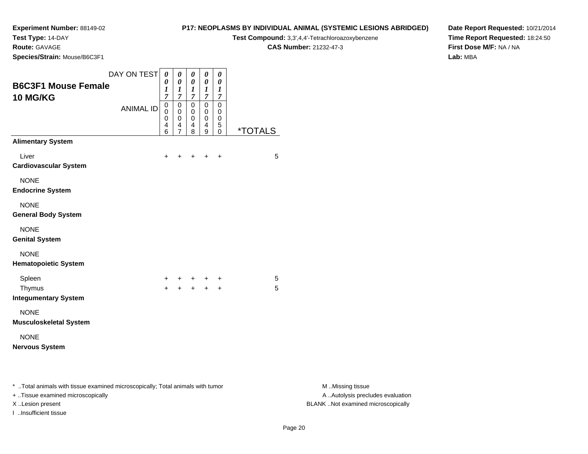**Test Type:** 14-DAY

**Route:** GAVAGE

I ..Insufficient tissue

**Species/Strain:** Mouse/B6C3F1

#### **P17: NEOPLASMS BY INDIVIDUAL ANIMAL (SYSTEMIC LESIONS ABRIDGED)**

**Test Compound:** 3,3',4,4'-Tetrachloroazoxybenzene

**CAS Number:** 21232-47-3

**Date Report Requested:** 10/21/2014**Time Report Requested:** 18:24:50**First Dose M/F:** NA / NA**Lab:** MBA

|                                                                                                                     | DAY ON TEST      | 0                                         | 0                                                      | 0                                       | 0                                               | 0                               |                       |
|---------------------------------------------------------------------------------------------------------------------|------------------|-------------------------------------------|--------------------------------------------------------|-----------------------------------------|-------------------------------------------------|---------------------------------|-----------------------|
| <b>B6C3F1 Mouse Female</b><br>10 MG/KG                                                                              |                  | 0<br>$\boldsymbol{l}$<br>$\overline{7}$   | 0<br>1<br>$\overline{7}$                               | 0<br>$\boldsymbol{l}$<br>$\overline{7}$ | 0<br>$\bm{l}$<br>$\overline{7}$                 | 0<br>1<br>$\overline{7}$        |                       |
|                                                                                                                     | <b>ANIMAL ID</b> | $\mathsf 0$<br>$\mathbf 0$<br>0<br>4<br>6 | $\mathbf 0$<br>0<br>$\mathbf 0$<br>4<br>$\overline{7}$ | $\mathsf 0$<br>0<br>0<br>4<br>8         | $\mathbf 0$<br>$\pmb{0}$<br>$\pmb{0}$<br>4<br>9 | $\mathsf 0$<br>0<br>0<br>5<br>0 | <i><b>*TOTALS</b></i> |
| <b>Alimentary System</b>                                                                                            |                  |                                           |                                                        |                                         |                                                 |                                 |                       |
| Liver<br><b>Cardiovascular System</b>                                                                               |                  | $\ddot{}$                                 | +                                                      | +                                       | $\pm$                                           | $\ddot{}$                       | 5                     |
| <b>NONE</b><br><b>Endocrine System</b>                                                                              |                  |                                           |                                                        |                                         |                                                 |                                 |                       |
| <b>NONE</b><br><b>General Body System</b>                                                                           |                  |                                           |                                                        |                                         |                                                 |                                 |                       |
| <b>NONE</b><br><b>Genital System</b>                                                                                |                  |                                           |                                                        |                                         |                                                 |                                 |                       |
| <b>NONE</b><br><b>Hematopoietic System</b>                                                                          |                  |                                           |                                                        |                                         |                                                 |                                 |                       |
| Spleen                                                                                                              |                  | +                                         | +                                                      | +                                       | +                                               | +                               | 5                     |
| Thymus<br><b>Integumentary System</b>                                                                               |                  | $+$                                       | $\ddot{}$                                              | $+$                                     | $+$                                             | $+$                             | 5                     |
| <b>NONE</b><br><b>Musculoskeletal System</b>                                                                        |                  |                                           |                                                        |                                         |                                                 |                                 |                       |
| <b>NONE</b><br><b>Nervous System</b>                                                                                |                  |                                           |                                                        |                                         |                                                 |                                 |                       |
| * Total animals with tissue examined microscopically; Total animals with tumor<br>+ Tissue examined microscopically |                  |                                           |                                                        |                                         |                                                 |                                 |                       |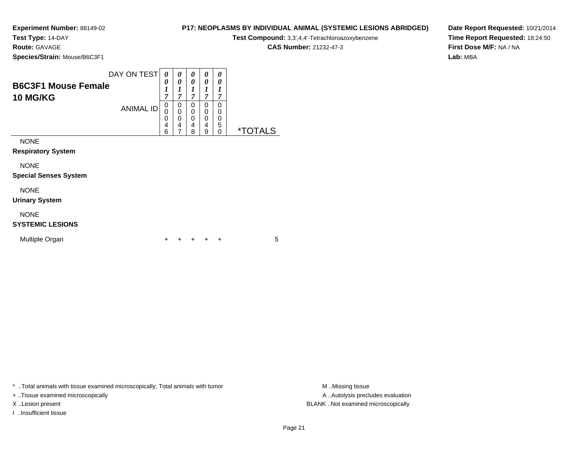**Test Type:** 14-DAY

**Route:** GAVAGE

**Species/Strain:** Mouse/B6C3F1

#### **P17: NEOPLASMS BY INDIVIDUAL ANIMAL (SYSTEMIC LESIONS ABRIDGED)**

**Test Compound:** 3,3',4,4'-Tetrachloroazoxybenzene

**CAS Number:** 21232-47-3

**Date Report Requested:** 10/21/2014**Time Report Requested:** 18:24:50**First Dose M/F:** NA / NA**Lab:** MBA

| <b>B6C3F1 Mouse Female</b><br><b>10 MG/KG</b> | DAY ON TEST      | 0<br>0<br>$\boldsymbol{l}$<br>$\overline{7}$ | 0<br>0<br>1<br>7      | 0<br>0<br>1<br>7                | 0<br>0<br>1<br>7      | 0<br>0<br>1<br>7             |                       |
|-----------------------------------------------|------------------|----------------------------------------------|-----------------------|---------------------------------|-----------------------|------------------------------|-----------------------|
|                                               | <b>ANIMAL ID</b> | 0<br>0<br>0<br>4<br>6                        | 0<br>0<br>0<br>4<br>7 | 0<br>0<br>$\mathbf 0$<br>4<br>8 | 0<br>0<br>0<br>4<br>9 | 0<br>0<br>0<br>5<br>$\Omega$ | <i><b>*TOTALS</b></i> |
| <b>NONE</b><br><b>Respiratory System</b>      |                  |                                              |                       |                                 |                       |                              |                       |
| <b>NONE</b><br><b>Special Senses System</b>   |                  |                                              |                       |                                 |                       |                              |                       |
| <b>NONE</b><br><b>Urinary System</b>          |                  |                                              |                       |                                 |                       |                              |                       |
| <b>NONE</b>                                   |                  |                                              |                       |                                 |                       |                              |                       |

### **SYSTEMIC LESIONS**

| <b>Multiple Organ</b> |  |  |  | + + + + + |  |  |  |
|-----------------------|--|--|--|-----------|--|--|--|
|-----------------------|--|--|--|-----------|--|--|--|

\* ..Total animals with tissue examined microscopically; Total animals with tumor **M** . Missing tissue M ..Missing tissue

+ ..Tissue examined microscopically

I ..Insufficient tissue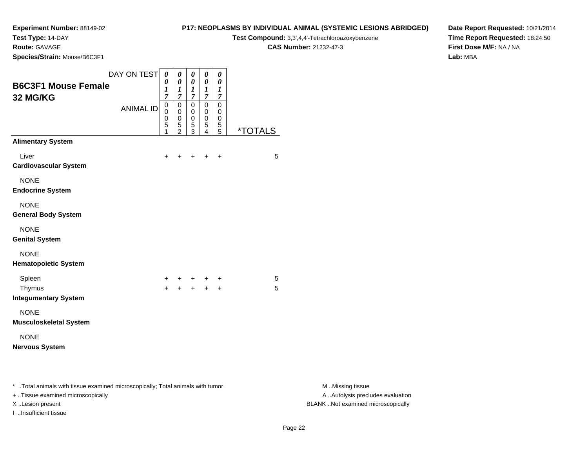**Test Type:** 14-DAY

**Route:** GAVAGE

**Species/Strain:** Mouse/B6C3F1

#### **P17: NEOPLASMS BY INDIVIDUAL ANIMAL (SYSTEMIC LESIONS ABRIDGED)**

**Test Compound:** 3,3',4,4'-Tetrachloroazoxybenzene

**CAS Number:** 21232-47-3

**Date Report Requested:** 10/21/2014**Time Report Requested:** 18:24:50**First Dose M/F:** NA / NA**Lab:** MBA

| DAY ON TEST<br><b>B6C3F1 Mouse Female</b><br>32 MG/KG                                                                | $\pmb{\theta}$<br>0<br>$\boldsymbol{l}$<br>$\overline{7}$ | $\pmb{\theta}$<br>$\boldsymbol{\theta}$<br>1<br>$\boldsymbol{7}$ | $\pmb{\theta}$<br>$\boldsymbol{\theta}$<br>$\boldsymbol{l}$<br>$\boldsymbol{7}$ | 0<br>$\pmb{\theta}$<br>$\boldsymbol{l}$<br>$\boldsymbol{7}$ | $\boldsymbol{\theta}$<br>$\boldsymbol{\theta}$<br>1<br>$\overline{7}$ |                       |                                                       |
|----------------------------------------------------------------------------------------------------------------------|-----------------------------------------------------------|------------------------------------------------------------------|---------------------------------------------------------------------------------|-------------------------------------------------------------|-----------------------------------------------------------------------|-----------------------|-------------------------------------------------------|
| <b>ANIMAL ID</b>                                                                                                     | $\mathsf 0$<br>0<br>0<br>5<br>1                           | $\mathbf 0$<br>$\mathbf 0$<br>$\pmb{0}$<br>$\frac{5}{2}$         | $\mathbf 0$<br>$\mathbf 0$<br>$\pmb{0}$<br>$\frac{5}{3}$                        | $\pmb{0}$<br>$\mathbf 0$<br>$\mathbf 0$<br>$\frac{5}{4}$    | $\pmb{0}$<br>0<br>$\pmb{0}$<br>$\frac{5}{5}$                          | <i><b>*TOTALS</b></i> |                                                       |
| <b>Alimentary System</b>                                                                                             |                                                           |                                                                  |                                                                                 |                                                             |                                                                       |                       |                                                       |
| Liver<br><b>Cardiovascular System</b>                                                                                | $\ddot{}$                                                 | $\ddot{}$                                                        | +                                                                               | $\ddot{}$                                                   | $\ddot{}$                                                             | 5                     |                                                       |
| <b>NONE</b><br><b>Endocrine System</b>                                                                               |                                                           |                                                                  |                                                                                 |                                                             |                                                                       |                       |                                                       |
| <b>NONE</b><br><b>General Body System</b>                                                                            |                                                           |                                                                  |                                                                                 |                                                             |                                                                       |                       |                                                       |
| <b>NONE</b><br><b>Genital System</b>                                                                                 |                                                           |                                                                  |                                                                                 |                                                             |                                                                       |                       |                                                       |
| <b>NONE</b><br><b>Hematopoietic System</b>                                                                           |                                                           |                                                                  |                                                                                 |                                                             |                                                                       |                       |                                                       |
| Spleen                                                                                                               | +                                                         |                                                                  | +                                                                               | +                                                           | +                                                                     | 5                     |                                                       |
| Thymus<br><b>Integumentary System</b>                                                                                | $+$                                                       |                                                                  |                                                                                 | $+$                                                         | $\ddot{}$                                                             | 5                     |                                                       |
| <b>NONE</b><br><b>Musculoskeletal System</b>                                                                         |                                                           |                                                                  |                                                                                 |                                                             |                                                                       |                       |                                                       |
| <b>NONE</b><br><b>Nervous System</b>                                                                                 |                                                           |                                                                  |                                                                                 |                                                             |                                                                       |                       |                                                       |
| *  Total animals with tissue examined microscopically; Total animals with tumor<br>+ Tissue examined microscopically |                                                           |                                                                  |                                                                                 |                                                             |                                                                       |                       | M Missing tissue<br>A  Autolysis precludes evaluation |

I ..Insufficient tissue

M ..Missing tissue X ..Lesion present BLANK ..Not examined microscopically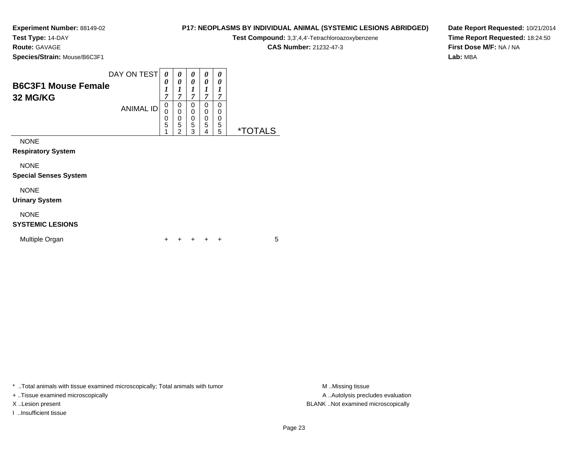**Test Type:** 14-DAY

**Route:** GAVAGE

**Species/Strain:** Mouse/B6C3F1

| Test Compound: 3,3',4,4'-Tetrachloroazoxybenzene |
|--------------------------------------------------|
| $0.80$ Messless 04000 470                        |

<sup>+</sup> <sup>+</sup> <sup>+</sup> <sup>+</sup> <sup>5</sup>

**CAS Number:** 21232-47-3

**P17: NEOPLASMS BY INDIVIDUAL ANIMAL (SYSTEMIC LESIONS ABRIDGED)**

**Date Report Requested:** 10/21/2014**Time Report Requested:** 18:24:50**First Dose M/F:** NA / NA**Lab:** MBA

|                                        | DAY ON TEST      | 0                                  | 0                                  | 0                        | 0                     | $\theta$              |                       |
|----------------------------------------|------------------|------------------------------------|------------------------------------|--------------------------|-----------------------|-----------------------|-----------------------|
| <b>B6C3F1 Mouse Female</b><br>32 MG/KG |                  | 0<br>1<br>7                        | 0<br>1<br>$\overline{7}$           | 0<br>1<br>$\overline{7}$ | 0<br>ı<br>7           | 0<br>1<br>7           |                       |
|                                        | <b>ANIMAL ID</b> | 0<br>0<br>0<br>$\overline{5}$<br>1 | 0<br>0<br>0<br>5<br>$\overline{c}$ | 0<br>0<br>0<br>5<br>3    | 0<br>0<br>0<br>5<br>4 | 0<br>0<br>0<br>5<br>5 | <i><b>*TOTALS</b></i> |
| <b>NONE</b>                            |                  |                                    |                                    |                          |                       |                       |                       |
| <b>Respiratory System</b>              |                  |                                    |                                    |                          |                       |                       |                       |
| <b>NONE</b>                            |                  |                                    |                                    |                          |                       |                       |                       |
| <b>Special Senses System</b>           |                  |                                    |                                    |                          |                       |                       |                       |
| <b>NONE</b>                            |                  |                                    |                                    |                          |                       |                       |                       |
| <b>Urinary System</b>                  |                  |                                    |                                    |                          |                       |                       |                       |
| <b>NONE</b><br><b>SYSTEMIC LESIONS</b> |                  |                                    |                                    |                          |                       |                       |                       |

\* ..Total animals with tissue examined microscopically; Total animals with tumor **M** . Missing tissue M ..Missing tissue

n  $+$ 

+ ..Tissue examined microscopically

I ..Insufficient tissue

Multiple Organ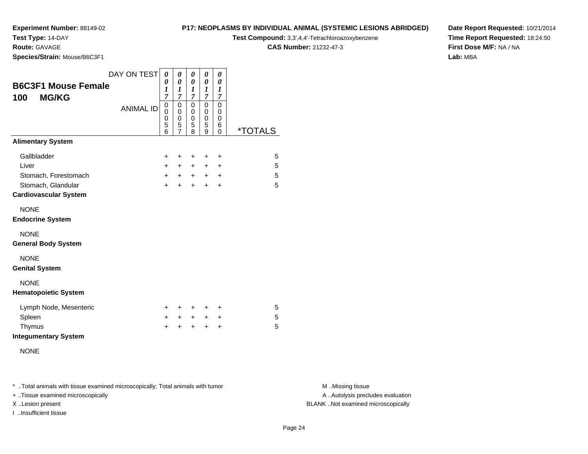# **Test Type:** 14-DAY

**Route:** GAVAGE

**Species/Strain:** Mouse/B6C3F1

### **P17: NEOPLASMS BY INDIVIDUAL ANIMAL (SYSTEMIC LESIONS ABRIDGED)Test Compound:** 3,3',4,4'-Tetrachloroazoxybenzene

**CAS Number:** 21232-47-3

**Date Report Requested:** 10/21/2014**Time Report Requested:** 18:24:50**First Dose M/F:** NA / NA**Lab:** MBA

| <b>B6C3F1 Mouse Female</b><br><b>MG/KG</b><br>100  | DAY ON TEST      | 0<br>0<br>1<br>$\overline{7}$ | 0<br>0<br>1<br>7                   | 0<br>$\pmb{\theta}$<br>1<br>7   | 0<br>$\boldsymbol{\theta}$<br>1<br>$\overline{7}$ | 0<br>0<br>1<br>7                                     |                       |
|----------------------------------------------------|------------------|-------------------------------|------------------------------------|---------------------------------|---------------------------------------------------|------------------------------------------------------|-----------------------|
|                                                    | <b>ANIMAL ID</b> | 0<br>0<br>0<br>5<br>6         | 0<br>0<br>0<br>5<br>$\overline{7}$ | $\mathbf 0$<br>0<br>0<br>5<br>8 | $\mathbf 0$<br>0<br>$\mathbf 0$<br>5<br>9         | $\mathbf 0$<br>0<br>$\mathbf 0$<br>6<br>$\mathbf{0}$ | <i><b>*TOTALS</b></i> |
| <b>Alimentary System</b>                           |                  |                               |                                    |                                 |                                                   |                                                      |                       |
| Gallbladder                                        |                  | $\ddot{}$                     | ÷                                  | +                               | +                                                 | +                                                    | 5                     |
| Liver                                              |                  | $+$                           | $+$                                | $\ddot{}$                       | $+$                                               | $\ddot{}$                                            | 5                     |
| Stomach, Forestomach                               |                  | $+$                           | $+$                                | $+$                             | $+$                                               | $\ddot{}$                                            | 5                     |
| Stomach, Glandular<br><b>Cardiovascular System</b> |                  | $\ddot{}$                     | $+$                                | $\ddot{}$                       | $\ddot{}$                                         | $\ddot{}$                                            | 5                     |
| <b>NONE</b><br><b>Endocrine System</b>             |                  |                               |                                    |                                 |                                                   |                                                      |                       |
| <b>NONE</b><br><b>General Body System</b>          |                  |                               |                                    |                                 |                                                   |                                                      |                       |
| <b>NONE</b><br><b>Genital System</b>               |                  |                               |                                    |                                 |                                                   |                                                      |                       |
| <b>NONE</b><br><b>Hematopoietic System</b>         |                  |                               |                                    |                                 |                                                   |                                                      |                       |
| Lymph Node, Mesenteric                             |                  | $\ddot{}$                     | ÷                                  | $\ddot{}$                       | ÷                                                 | +                                                    | 5                     |
| Spleen                                             |                  | $\ddot{}$                     | $\ddot{}$                          | $\ddot{}$                       | $\ddot{}$                                         | +                                                    | 5                     |
| Thymus<br><b>Integumentary System</b>              |                  | $\ddot{}$                     | $\ddot{}$                          | $\ddot{}$                       | $\ddot{}$                                         | $\ddot{}$                                            | 5                     |
| <b>NONE</b>                                        |                  |                               |                                    |                                 |                                                   |                                                      |                       |

\* ..Total animals with tissue examined microscopically; Total animals with tumor **M** . Missing tissue M ..Missing tissue

+ ..Tissue examined microscopically

I ..Insufficient tissue